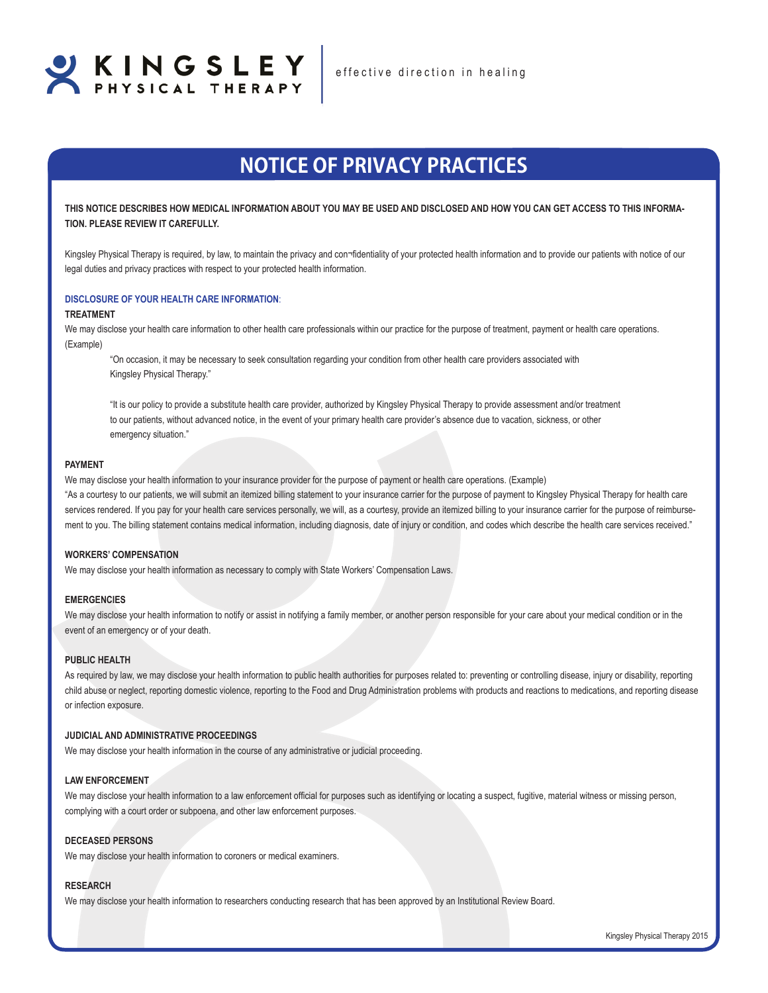

# **NOTICE OF PRIVACY PRACTICES**

**THIS NOTICE DESCRIBES HOW MEDICAL INFORMATION ABOUT YOU MAY BE USED AND DISCLOSED AND HOW YOU CAN GET ACCESS TO THIS INFORMA-TION. PLEASE REVIEW IT CAREFULLY.**

Kingsley Physical Therapy is required, by law, to maintain the privacy and con¬fidentiality of your protected health information and to provide our patients with notice of our legal duties and privacy practices with respect to your protected health information.

#### **DISCLOSURE OF YOUR HEALTH CARE INFORMATION**:

#### **TREATMENT**

We may disclose your health care information to other health care professionals within our practice for the purpose of treatment, payment or health care operations. (Example)

"On occasion, it may be necessary to seek consultation regarding your condition from other health care providers associated with Kingsley Physical Therapy."

"It is our policy to provide a substitute health care provider, authorized by Kingsley Physical Therapy to provide assessment and/or treatment to our patients, without advanced notice, in the event of your primary health care provider's absence due to vacation, sickness, or other emergency situation."

## **PAYMENT**

We may disclose your health information to your insurance provider for the purpose of payment or health care operations. (Example) "As a courtesy to our patients, we will submit an itemized billing statement to your insurance carrier for the purpose of payment to Kingsley Physical Therapy for health care services rendered. If you pay for your health care services personally, we will, as a courtesy, provide an itemized billing to your insurance carrier for the purpose of reimbursement to you. The billing statement contains medical information, including diagnosis, date of injury or condition, and codes which describe the health care services received."

## **WORKERS' COMPENSATION**

We may disclose your health information as necessary to comply with State Workers' Compensation Laws.

### **EMERGENCIES**

We may disclose your health information to notify or assist in notifying a family member, or another person responsible for your care about your medical condition or in the event of an emergency or of your death.

### **PUBLIC HEALTH**

As required by law, we may disclose your health information to public health authorities for purposes related to: preventing or controlling disease, injury or disability, reporting child abuse or neglect, reporting domestic violence, reporting to the Food and Drug Administration problems with products and reactions to medications, and reporting disease or infection exposure.

## **JUDICIAL AND ADMINISTRATIVE PROCEEDINGS**

We may disclose your health information in the course of any administrative or judicial proceeding.

## **LAW ENFORCEMENT**

We may disclose your health information to a law enforcement official for purposes such as identifying or locating a suspect, fugitive, material witness or missing person, complying with a court order or subpoena, and other law enforcement purposes.

#### **DECEASED PERSONS**

We may disclose your health information to coroners or medical examiners.

## **RESEARCH**

We may disclose your health information to researchers conducting research that has been approved by an Institutional Review Board.